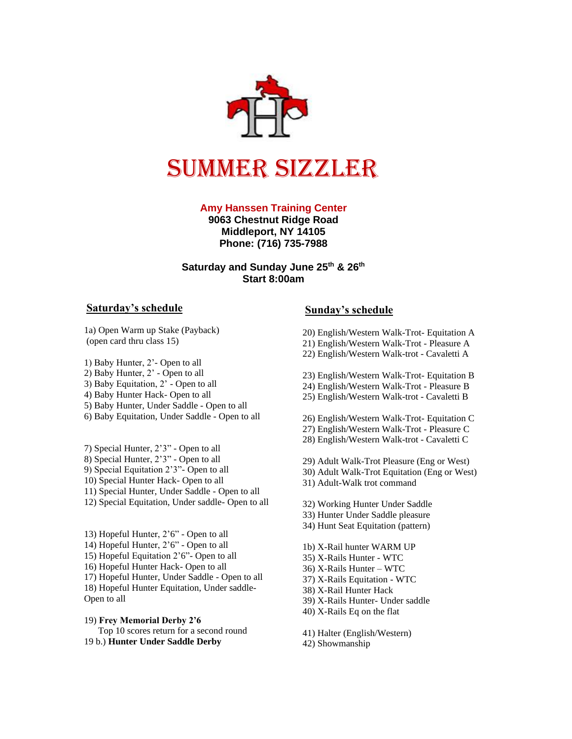

# Summer sizzler

#### **Amy Hanssen Training Center**

**9063 Chestnut Ridge Road Middleport, NY 14105 Phone: (716) 735-7988**

#### **Saturday and Sunday June 25 th & 26 th Start 8:00am**

#### **Saturday's schedule**

1a) Open Warm up Stake (Payback) (open card thru class 15)

1) Baby Hunter, 2'- Open to all

2) Baby Hunter, 2' - Open to all

3) Baby Equitation, 2' - Open to all

4) Baby Hunter Hack- Open to all

5) Baby Hunter, Under Saddle - Open to all

6) Baby Equitation, Under Saddle - Open to all

7) Special Hunter, 2'3" - Open to all 8) Special Hunter, 2'3" - Open to all 9) Special Equitation 2'3"- Open to all 10) Special Hunter Hack- Open to all 11) Special Hunter, Under Saddle - Open to all 12) Special Equitation, Under saddle- Open to all

13) Hopeful Hunter, 2'6" - Open to all 14) Hopeful Hunter, 2'6" - Open to all 15) Hopeful Equitation 2'6"- Open to all 16) Hopeful Hunter Hack- Open to all 17) Hopeful Hunter, Under Saddle - Open to all 18) Hopeful Hunter Equitation, Under saddle-Open to all

19) **Frey Memorial Derby 2'6** Top 10 scores return for a second round 19 b.) **Hunter Under Saddle Derby**

### **Sunday's schedule**

20) English/Western Walk-Trot- Equitation A

- 21) English/Western Walk-Trot Pleasure A
- 22) English/Western Walk-trot Cavaletti A

23) English/Western Walk-Trot- Equitation B

24) English/Western Walk-Trot - Pleasure B

25) English/Western Walk-trot - Cavaletti B

26) English/Western Walk-Trot- Equitation C

- 27) English/Western Walk-Trot Pleasure C
- 28) English/Western Walk-trot Cavaletti C
- 29) Adult Walk-Trot Pleasure (Eng or West)
- 30) Adult Walk-Trot Equitation (Eng or West)

31) Adult-Walk trot command

32) Working Hunter Under Saddle

- 33) Hunter Under Saddle pleasure
- 34) Hunt Seat Equitation (pattern)
- 1b) X-Rail hunter WARM UP
- 35) X-Rails Hunter WTC
- 36) X-Rails Hunter WTC
- 37) X-Rails Equitation WTC
- 38) X-Rail Hunter Hack
- 39) X-Rails Hunter- Under saddle
- 40) X-Rails Eq on the flat

41) Halter (English/Western)

42) Showmanship